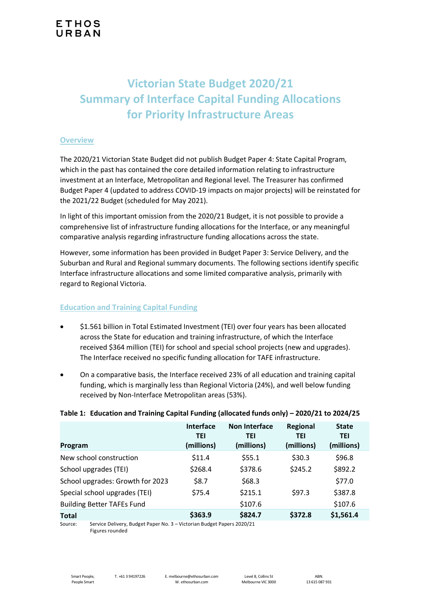# **Victorian State Budget 2020/21 Summary of Interface Capital Funding Allocations for Priority Infrastructure Areas**

#### **Overview**

The 2020/21 Victorian State Budget did not publish Budget Paper 4: State Capital Program, which in the past has contained the core detailed information relating to infrastructure investment at an Interface, Metropolitan and Regional level. The Treasurer has confirmed Budget Paper 4 (updated to address COVID-19 impacts on major projects) will be reinstated for the 2021/22 Budget (scheduled for May 2021).

In light of this important omission from the 2020/21 Budget, it is not possible to provide a comprehensive list of infrastructure funding allocations for the Interface, or any meaningful comparative analysis regarding infrastructure funding allocations across the state.

However, some information has been provided in Budget Paper 3: Service Delivery, and the Suburban and Rural and Regional summary documents. The following sections identify specific Interface infrastructure allocations and some limited comparative analysis, primarily with regard to Regional Victoria.

## **Education and Training Capital Funding**

- \$1.561 billion in Total Estimated Investment (TEI) over four years has been allocated across the State for education and training infrastructure, of which the Interface received \$364 million (TEI) for school and special school projects (new and upgrades). The Interface received no specific funding allocation for TAFE infrastructure.
- On a comparative basis, the Interface received 23% of all education and training capital funding, which is marginally less than Regional Victoria (24%), and well below funding received by Non-Interface Metropolitan areas (53%).

#### **Table 1: Education and Training Capital Funding (allocated funds only) – 2020/21 to 2024/25**

| Program                           | <b>Interface</b><br><b>TEI</b><br>(millions) | Non Interface<br><b>TEI</b><br>(millions) | Regional<br><b>TEI</b><br>(millions) | <b>State</b><br><b>TEI</b><br>(millions) |
|-----------------------------------|----------------------------------------------|-------------------------------------------|--------------------------------------|------------------------------------------|
| New school construction           | \$11.4                                       | \$55.1                                    | \$30.3                               | \$96.8                                   |
| School upgrades (TEI)             | \$268.4                                      | \$378.6                                   | \$245.2                              | \$892.2                                  |
| School upgrades: Growth for 2023  | \$8.7                                        | \$68.3                                    |                                      | \$77.0                                   |
| Special school upgrades (TEI)     | \$75.4                                       | \$215.1                                   | \$97.3                               | \$387.8                                  |
| <b>Building Better TAFEs Fund</b> |                                              | \$107.6                                   |                                      | \$107.6                                  |
| <b>Total</b>                      | \$363.9                                      | \$824.7                                   | \$372.8                              | \$1,561.4                                |

Source: Service Delivery, Budget Paper No. 3 – Victorian Budget Papers 2020/21 Figures rounded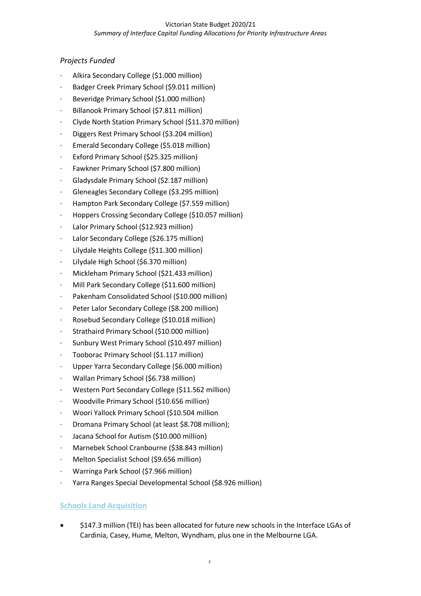# *Projects Funded*

- · Alkira Secondary College (\$1.000 million)
- · Badger Creek Primary School (\$9.011 million)
- Beveridge Primary School (\$1.000 million)
- Billanook Primary School (\$7.811 million)
- · Clyde North Station Primary School (\$11.370 million)
- · Diggers Rest Primary School (\$3.204 million)
- Emerald Secondary College (\$5.018 million)
- Exford Primary School (\$25.325 million)
- Fawkner Primary School (\$7.800 million)
- · Gladysdale Primary School (\$2.187 million)
- Gleneagles Secondary College (\$3.295 million)
- Hampton Park Secondary College (\$7.559 million)
- · Hoppers Crossing Secondary College (\$10.057 million)
- Lalor Primary School (\$12.923 million)
- Lalor Secondary College (\$26.175 million)
- Lilydale Heights College (\$11.300 million)
- Lilydale High School (\$6.370 million)
- · Mickleham Primary School (\$21.433 million)
- Mill Park Secondary College (\$11.600 million)
- Pakenham Consolidated School (\$10.000 million)
- Peter Lalor Secondary College (\$8.200 million)
- · Rosebud Secondary College (\$10.018 million)
- Strathaird Primary School (\$10.000 million)
- Sunbury West Primary School (\$10.497 million)
- Tooborac Primary School (\$1.117 million)
- Upper Yarra Secondary College (\$6.000 million)
- · Wallan Primary School (\$6.738 million)
- Western Port Secondary College (\$11.562 million)
- · Woodville Primary School (\$10.656 million)
- · Woori Yallock Primary School (\$10.504 million
- · Dromana Primary School (at least \$8.708 million);
- Jacana School for Autism (\$10.000 million)
- · Marnebek School Cranbourne (\$38.843 million)
- · Melton Specialist School (\$9.656 million)
- · Warringa Park School (\$7.966 million)
- · Yarra Ranges Special Developmental School (\$8.926 million)

## **Schools Land Acquisition**

• \$147.3 million (TEI) has been allocated for future new schools in the Interface LGAs of Cardinia, Casey, Hume, Melton, Wyndham, plus one in the Melbourne LGA.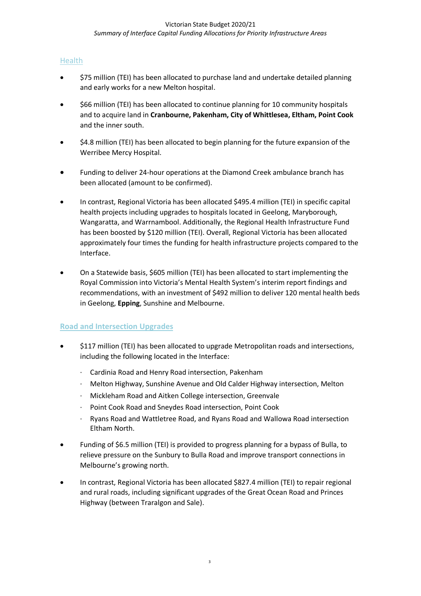# **Health**

- \$75 million (TEI) has been allocated to purchase land and undertake detailed planning and early works for a new Melton hospital.
- \$66 million (TEI) has been allocated to continue planning for 10 community hospitals and to acquire land in **Cranbourne, Pakenham, City of Whittlesea, Eltham, Point Cook** and the inner south.
- \$4.8 million (TEI) has been allocated to begin planning for the future expansion of the Werribee Mercy Hospital.
- Funding to deliver 24-hour operations at the Diamond Creek ambulance branch has been allocated (amount to be confirmed).
- In contrast, Regional Victoria has been allocated \$495.4 million (TEI) in specific capital health projects including upgrades to hospitals located in Geelong, Maryborough, Wangaratta, and Warrnambool. Additionally, the Regional Health Infrastructure Fund has been boosted by \$120 million (TEI). Overall, Regional Victoria has been allocated approximately four times the funding for health infrastructure projects compared to the Interface.
- On a Statewide basis, \$605 million (TEI) has been allocated to start implementing the Royal Commission into Victoria's Mental Health System's interim report findings and recommendations, with an investment of \$492 million to deliver 120 mental health beds in Geelong, **Epping**, Sunshine and Melbourne.

## **Road and Intersection Upgrades**

- \$117 million (TEI) has been allocated to upgrade Metropolitan roads and intersections, including the following located in the Interface:
	- · Cardinia Road and Henry Road intersection, Pakenham
	- · Melton Highway, Sunshine Avenue and Old Calder Highway intersection, Melton
	- · Mickleham Road and Aitken College intersection, Greenvale
	- Point Cook Road and Sneydes Road intersection, Point Cook
	- · Ryans Road and Wattletree Road, and Ryans Road and Wallowa Road intersection Eltham North.
- Funding of \$6.5 million (TEI) is provided to progress planning for a bypass of Bulla, to relieve pressure on the Sunbury to Bulla Road and improve transport connections in Melbourne's growing north.
- In contrast, Regional Victoria has been allocated \$827.4 million (TEI) to repair regional and rural roads, including significant upgrades of the Great Ocean Road and Princes Highway (between Traralgon and Sale).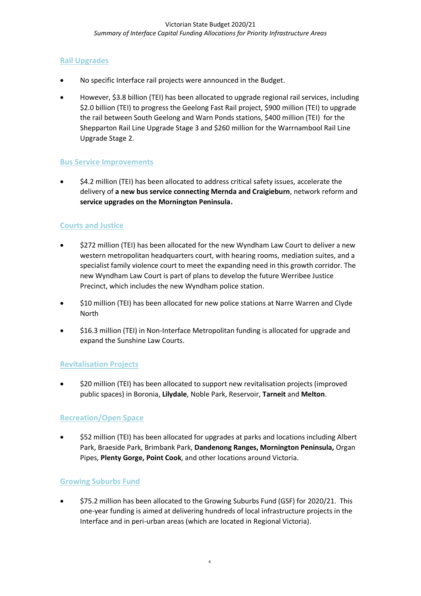# **Rail Upgrades**

- No specific Interface rail projects were announced in the Budget.
- However, \$3.8 billion (TEI) has been allocated to upgrade regional rail services, including \$2.0 billion (TEI) to progress the Geelong Fast Rail project, \$900 million (TEI) to upgrade the rail between South Geelong and Warn Ponds stations, \$400 million (TEI) for the Shepparton Rail Line Upgrade Stage 3 and \$260 million for the Warrnambool Rail Line Upgrade Stage 2.

### **Bus Service Improvements**

• \$4.2 million (TEI) has been allocated to address critical safety issues, accelerate the delivery of **a new bus service connecting Mernda and Craigieburn**, network reform and **service upgrades on the Mornington Peninsula.**

## **Courts and Justice**

- \$272 million (TEI) has been allocated for the new Wyndham Law Court to deliver a new western metropolitan headquarters court, with hearing rooms, mediation suites, and a specialist family violence court to meet the expanding need in this growth corridor. The new Wyndham Law Court is part of plans to develop the future Werribee Justice Precinct, which includes the new Wyndham police station.
- \$10 million (TEI) has been allocated for new police stations at Narre Warren and Clyde North
- \$16.3 million (TEI) in Non-Interface Metropolitan funding is allocated for upgrade and expand the Sunshine Law Courts.

## **Revitalisation Projects**

• \$20 million (TEI) has been allocated to support new revitalisation projects (improved public spaces) in Boronia, **Lilydale**, Noble Park, Reservoir, **Tarneit** and **Melton**.

## **Recreation/Open Space**

• \$52 million (TEI) has been allocated for upgrades at parks and locations including Albert Park, Braeside Park, Brimbank Park, **Dandenong Ranges, Mornington Peninsula,** Organ Pipes, **Plenty Gorge, Point Cook**, and other locations around Victoria.

#### **Growing Suburbs Fund**

• \$75.2 million has been allocated to the Growing Suburbs Fund (GSF) for 2020/21. This one-year funding is aimed at delivering hundreds of local infrastructure projects in the Interface and in peri-urban areas (which are located in Regional Victoria).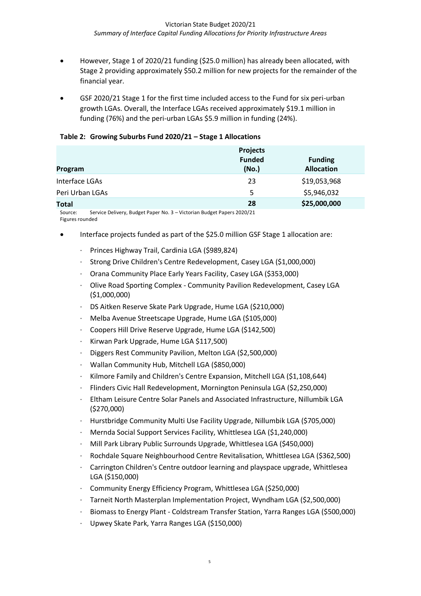- However, Stage 1 of 2020/21 funding (\$25.0 million) has already been allocated, with Stage 2 providing approximately \$50.2 million for new projects for the remainder of the financial year.
- GSF 2020/21 Stage 1 for the first time included access to the Fund for six peri-urban growth LGAs. Overall, the Interface LGAs received approximately \$19.1 million in funding (76%) and the peri-urban LGAs \$5.9 million in funding (24%).

|  | Table 2: Growing Suburbs Fund 2020/21 - Stage 1 Allocations |  |
|--|-------------------------------------------------------------|--|
|--|-------------------------------------------------------------|--|

| Program         | <b>Projects</b><br><b>Funded</b><br>(No.) | <b>Funding</b><br><b>Allocation</b> |
|-----------------|-------------------------------------------|-------------------------------------|
| Interface LGAs  | 23                                        | \$19,053,968                        |
| Peri Urban LGAs | 5                                         | \$5,946,032                         |
| <b>Total</b>    | 28                                        | \$25,000,000                        |

Source: Service Delivery, Budget Paper No. 3 – Victorian Budget Papers 2020/21 Figures rounded

- Interface projects funded as part of the \$25.0 million GSF Stage 1 allocation are:
	- · Princes Highway Trail, Cardinia LGA (\$989,824)
	- · Strong Drive Children's Centre Redevelopment, Casey LGA (\$1,000,000)
	- · Orana Community Place Early Years Facility, Casey LGA (\$353,000)
	- · Olive Road Sporting Complex Community Pavilion Redevelopment, Casey LGA (\$1,000,000)
	- · DS Aitken Reserve Skate Park Upgrade, Hume LGA (\$210,000)
	- · Melba Avenue Streetscape Upgrade, Hume LGA (\$105,000)
	- · Coopers Hill Drive Reserve Upgrade, Hume LGA (\$142,500)
	- · Kirwan Park Upgrade, Hume LGA \$117,500)
	- · Diggers Rest Community Pavilion, Melton LGA (\$2,500,000)
	- · Wallan Community Hub, Mitchell LGA (\$850,000)
	- Kilmore Family and Children's Centre Expansion, Mitchell LGA (\$1,108,644)
	- · Flinders Civic Hall Redevelopment, Mornington Peninsula LGA (\$2,250,000)
	- · Eltham Leisure Centre Solar Panels and Associated Infrastructure, Nillumbik LGA (\$270,000)
	- · Hurstbridge Community Multi Use Facility Upgrade, Nillumbik LGA (\$705,000)
	- · Mernda Social Support Services Facility, Whittlesea LGA (\$1,240,000)
	- · Mill Park Library Public Surrounds Upgrade, Whittlesea LGA (\$450,000)
	- · Rochdale Square Neighbourhood Centre Revitalisation, Whittlesea LGA (\$362,500)
	- · Carrington Children's Centre outdoor learning and playspace upgrade, Whittlesea LGA (\$150,000)
	- · Community Energy Efficiency Program, Whittlesea LGA (\$250,000)
	- · Tarneit North Masterplan Implementation Project, Wyndham LGA (\$2,500,000)
	- · Biomass to Energy Plant Coldstream Transfer Station, Yarra Ranges LGA (\$500,000)
	- · Upwey Skate Park, Yarra Ranges LGA (\$150,000)